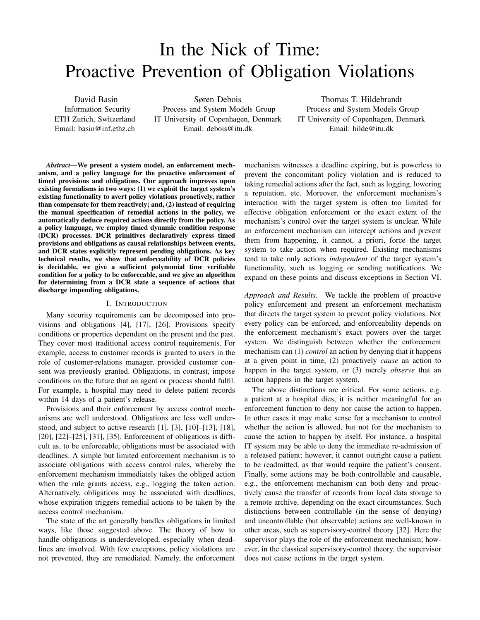# In the Nick of Time: Proactive Prevention of Obligation Violations

David Basin Information Security ETH Zurich, Switzerland Email: basin@inf.ethz.ch

Søren Debois Process and System Models Group IT University of Copenhagen, Denmark Email: debois@itu.dk

Thomas T. Hildebrandt Process and System Models Group IT University of Copenhagen, Denmark Email: hilde@itu.dk

*Abstract*—We present a system model, an enforcement mechanism, and a policy language for the proactive enforcement of timed provisions and obligations. Our approach improves upon existing formalisms in two ways: (1) we exploit the target system's existing functionality to avert policy violations proactively, rather than compensate for them reactively; and, (2) instead of requiring the manual specification of remedial actions in the policy, we automatically deduce required actions directly from the policy. As a policy language, we employ timed dynamic condition response (DCR) processes. DCR primitives declaratively express timed provisions and obligations as causal relationships between events, and DCR states explicitly represent pending obligations. As key technical results, we show that enforceability of DCR policies is decidable, we give a sufficient polynomial time verifiable condition for a policy to be enforceable, and we give an algorithm for determining from a DCR state a sequence of actions that discharge impending obligations.

#### I. INTRODUCTION

Many security requirements can be decomposed into provisions and obligations [4], [17], [26]. Provisions specify conditions or properties dependent on the present and the past. They cover most traditional access control requirements. For example, access to customer records is granted to users in the role of customer-relations manager, provided customer consent was previously granted. Obligations, in contrast, impose conditions on the future that an agent or process should fulfil. For example, a hospital may need to delete patient records within 14 days of a patient's release.

Provisions and their enforcement by access control mechanisms are well understood. Obligations are less well understood, and subject to active research [1], [3], [10]–[13], [18], [20], [22]–[25], [31], [35]. Enforcement of obligations is difficult as, to be enforceable, obligations must be associated with deadlines. A simple but limited enforcement mechanism is to associate obligations with access control rules, whereby the enforcement mechanism immediately takes the obliged action when the rule grants access, e.g., logging the taken action. Alternatively, obligations may be associated with deadlines, whose expiration triggers remedial actions to be taken by the access control mechanism.

The state of the art generally handles obligations in limited ways, like those suggested above. The theory of how to handle obligations is underdeveloped, especially when deadlines are involved. With few exceptions, policy violations are not prevented, they are remediated. Namely, the enforcement mechanism witnesses a deadline expiring, but is powerless to prevent the concomitant policy violation and is reduced to taking remedial actions after the fact, such as logging, lowering a reputation, etc. Moreover, the enforcement mechanism's interaction with the target system is often too limited for effective obligation enforcement or the exact extent of the mechanism's control over the target system is unclear. While an enforcement mechanism can intercept actions and prevent them from happening, it cannot, a priori, force the target system to take action when required. Existing mechanisms tend to take only actions *independent* of the target system's functionality, such as logging or sending notifications. We expand on these points and discuss exceptions in Section VI.

*Approach and Results.* We tackle the problem of proactive policy enforcement and present an enforcement mechanism that directs the target system to prevent policy violations. Not every policy can be enforced, and enforceability depends on the enforcement mechanism's exact powers over the target system. We distinguish between whether the enforcement mechanism can (1) *control* an action by denying that it happens at a given point in time, (2) proactively *cause* an action to happen in the target system, or (3) merely *observe* that an action happens in the target system.

The above distinctions are critical. For some actions, e.g. a patient at a hospital dies, it is neither meaningful for an enforcement function to deny nor cause the action to happen. In other cases it may make sense for a mechanism to control whether the action is allowed, but not for the mechanism to cause the action to happen by itself. For instance, a hospital IT system may be able to deny the immediate re-admission of a released patient; however, it cannot outright cause a patient to be readmitted, as that would require the patient's consent. Finally, some actions may be both controllable and causable, e.g., the enforcement mechanism can both deny and proactively cause the transfer of records from local data storage to a remote archive, depending on the exact circumstances. Such distinctions between controllable (in the sense of denying) and uncontrollable (but observable) actions are well-known in other areas, such as supervisory-control theory [32]. Here the supervisor plays the role of the enforcement mechanism; however, in the classical supervisory-control theory, the supervisor does not cause actions in the target system.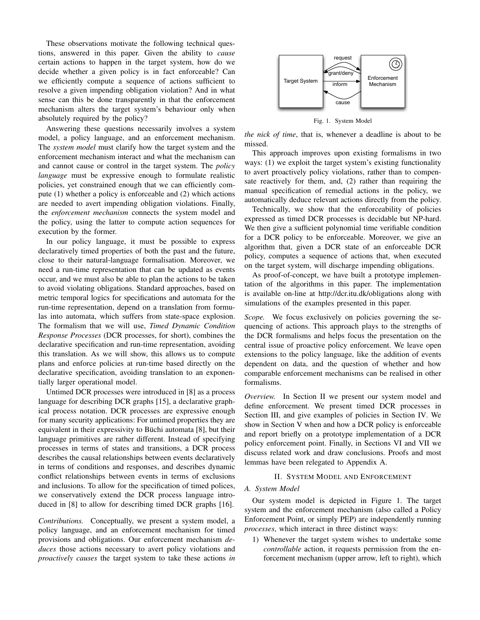These observations motivate the following technical questions, answered in this paper. Given the ability to *cause* certain actions to happen in the target system, how do we decide whether a given policy is in fact enforceable? Can we efficiently compute a sequence of actions sufficient to resolve a given impending obligation violation? And in what sense can this be done transparently in that the enforcement mechanism alters the target system's behaviour only when absolutely required by the policy?

Answering these questions necessarily involves a system model, a policy language, and an enforcement mechanism. The *system model* must clarify how the target system and the enforcement mechanism interact and what the mechanism can and cannot cause or control in the target system. The *policy language* must be expressive enough to formulate realistic policies, yet constrained enough that we can efficiently compute (1) whether a policy is enforceable and (2) which actions are needed to avert impending obligation violations. Finally, the *enforcement mechanism* connects the system model and the policy, using the latter to compute action sequences for execution by the former.

In our policy language, it must be possible to express declaratively timed properties of both the past and the future, close to their natural-language formalisation. Moreover, we need a run-time representation that can be updated as events occur, and we must also be able to plan the actions to be taken to avoid violating obligations. Standard approaches, based on metric temporal logics for specifications and automata for the run-time representation, depend on a translation from formulas into automata, which suffers from state-space explosion. The formalism that we will use, *Timed Dynamic Condition Response Processes* (DCR processes, for short), combines the declarative specification and run-time representation, avoiding this translation. As we will show, this allows us to compute plans and enforce policies at run-time based directly on the declarative specification, avoiding translation to an exponentially larger operational model.

Untimed DCR processes were introduced in [8] as a process language for describing DCR graphs [15], a declarative graphical process notation. DCR processes are expressive enough for many security applications: For untimed properties they are equivalent in their expressivity to Büchi automata [8], but their language primitives are rather different. Instead of specifying processes in terms of states and transitions, a DCR process describes the causal relationships between events declaratively in terms of conditions and responses, and describes dynamic conflict relationships between events in terms of exclusions and inclusions. To allow for the specification of timed polices, we conservatively extend the DCR process language introduced in [8] to allow for describing timed DCR graphs [16].

*Contributions.* Conceptually, we present a system model, a policy language, and an enforcement mechanism for timed provisions and obligations. Our enforcement mechanism *deduces* those actions necessary to avert policy violations and *proactively causes* the target system to take these actions *in*



Fig. 1. System Model

*the nick of time*, that is, whenever a deadline is about to be missed.

This approach improves upon existing formalisms in two ways: (1) we exploit the target system's existing functionality to avert proactively policy violations, rather than to compensate reactively for them, and, (2) rather than requiring the manual specification of remedial actions in the policy, we automatically deduce relevant actions directly from the policy.

Technically, we show that the enforceability of policies expressed as timed DCR processes is decidable but NP-hard. We then give a sufficient polynomial time verifiable condition for a DCR policy to be enforceable. Moreover, we give an algorithm that, given a DCR state of an enforceable DCR policy, computes a sequence of actions that, when executed on the target system, will discharge impending obligations.

As proof-of-concept, we have built a prototype implementation of the algorithms in this paper. The implementation is available on-line at http://dcr.itu.dk/obligations along with simulations of the examples presented in this paper.

*Scope.* We focus exclusively on policies governing the sequencing of actions. This approach plays to the strengths of the DCR formalisms and helps focus the presentation on the central issue of proactive policy enforcement. We leave open extensions to the policy language, like the addition of events dependent on data, and the question of whether and how comparable enforcement mechanisms can be realised in other formalisms.

*Overview.* In Section II we present our system model and define enforcement. We present timed DCR processes in Section III, and give examples of policies in Section IV. We show in Section V when and how a DCR policy is enforceable and report briefly on a prototype implementation of a DCR policy enforcement point. Finally, in Sections VI and VII we discuss related work and draw conclusions. Proofs and most lemmas have been relegated to Appendix A.

# II. SYSTEM MODEL AND ENFORCEMENT

#### *A. System Model*

Our system model is depicted in Figure 1. The target system and the enforcement mechanism (also called a Policy Enforcement Point, or simply PEP) are independently running *processes*, which interact in three distinct ways:

1) Whenever the target system wishes to undertake some *controllable* action, it requests permission from the enforcement mechanism (upper arrow, left to right), which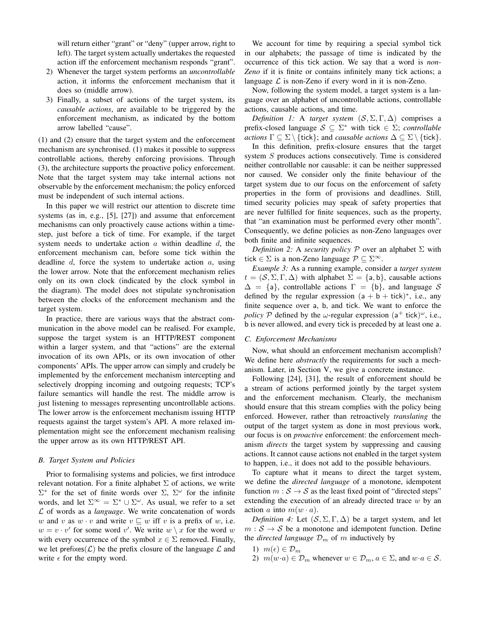will return either "grant" or "deny" (upper arrow, right to left). The target system actually undertakes the requested action iff the enforcement mechanism responds "grant".

- 2) Whenever the target system performs an *uncontrollable* action, it informs the enforcement mechanism that it does so (middle arrow).
- 3) Finally, a subset of actions of the target system, its *causable actions*, are available to be triggered by the enforcement mechanism, as indicated by the bottom arrow labelled "cause".

(1) and (2) ensure that the target system and the enforcement mechanism are synchronised. (1) makes it possible to suppress controllable actions, thereby enforcing provisions. Through (3), the architecture supports the proactive policy enforcement. Note that the target system may take internal actions not observable by the enforcement mechanism; the policy enforced must be independent of such internal actions.

In this paper we will restrict our attention to discrete time systems (as in, e.g., [5], [27]) and assume that enforcement mechanisms can only proactively cause actions within a timestep, just before a tick of time. For example, if the target system needs to undertake action  $a$  within deadline  $d$ , the enforcement mechanism can, before some tick within the deadline  $d$ , force the system to undertake action  $a$ , using the lower arrow. Note that the enforcement mechanism relies only on its own clock (indicated by the clock symbol in the diagram). The model does not stipulate synchronisation between the clocks of the enforcement mechanism and the target system.

In practice, there are various ways that the abstract communication in the above model can be realised. For example, suppose the target system is an HTTP/REST component within a larger system, and that "actions" are the external invocation of its own APIs, or its own invocation of other components' APIs. The upper arrow can simply and crudely be implemented by the enforcement mechanism intercepting and selectively dropping incoming and outgoing requests; TCP's failure semantics will handle the rest. The middle arrow is just listening to messages representing uncontrollable actions. The lower arrow is the enforcement mechanism issuing HTTP requests against the target system's API. A more relaxed implementation might see the enforcement mechanism realising the upper arrow as its own HTTP/REST API.

# *B. Target System and Policies*

Prior to formalising systems and policies, we first introduce relevant notation. For a finite alphabet  $\Sigma$  of actions, we write  $\Sigma^*$  for the set of finite words over  $\Sigma$ ,  $\Sigma^{\omega}$  for the infinite words, and let  $\Sigma^{\infty} = \Sigma^* \cup \Sigma^{\omega}$ . As usual, we refer to a set L of words as a *language*. We write concatenation of words w and v as  $w \cdot v$  and write  $v \sqsubseteq w$  iff v is a prefix of w, i.e.  $w = v \cdot v'$  for some word v'. We write  $w \setminus x$  for the word w with every occurrence of the symbol  $x \in \Sigma$  removed. Finally, we let prefixes  $(L)$  be the prefix closure of the language  $L$  and write  $\epsilon$  for the empty word.

We account for time by requiring a special symbol tick in our alphabets; the passage of time is indicated by the occurrence of this tick action. We say that a word is *non-Zeno* if it is finite or contains infinitely many tick actions; a language  $\mathcal L$  is non-Zeno if every word in it is non-Zeno.

Now, following the system model, a target system is a language over an alphabet of uncontrollable actions, controllable actions, causable actions, and time.

*Definition 1:* A *target system*  $(S, \Sigma, \Gamma, \Delta)$  comprises a prefix-closed language  $S \subseteq \Sigma^*$  with tick  $\in \Sigma$ ; *controllable actions*  $\Gamma \subseteq \Sigma \setminus \{\text{tick}\}\$ ; and *causable actions*  $\Delta \subseteq \Sigma \setminus \{\text{tick}\}\$ .

In this definition, prefix-closure ensures that the target system S produces actions consecutively. Time is considered neither controllable nor causable: it can be neither suppressed nor caused. We consider only the finite behaviour of the target system due to our focus on the enforcement of safety properties in the form of provisions and deadlines. Still, timed security policies may speak of safety properties that are never fulfilled for finite sequences, such as the property, that "an examination must be performed every other month". Consequently, we define policies as non-Zeno languages over both finite and infinite sequences.

*Definition 2:* A *security policy* P over an alphabet Σ with tick  $\in \Sigma$  is a non-Zeno language  $\mathcal{P} \subseteq \Sigma^{\infty}$ .

*Example 3:* As a running example, consider a *target system*  $t = (S, \Sigma, \Gamma, \Delta)$  with alphabet  $\Sigma = \{a, b\}$ , causable actions  $\Delta = \{a\}$ , controllable actions  $\Gamma = \{b\}$ , and language S defined by the regular expression  $(a + b + tick)^*$ , i.e., any finite sequence over a, b, and tick. We want to enforce the *policy*  $P$  defined by the  $\omega$ -regular expression  $(a^+$  tick)<sup> $\omega$ </sup>, i.e., b is never allowed, and every tick is preceded by at least one a.

# *C. Enforcement Mechanisms*

Now, what should an enforcement mechanism accomplish? We define here *abstractly* the requirements for such a mechanism. Later, in Section V, we give a concrete instance.

Following [24], [31], the result of enforcement should be a stream of actions performed jointly by the target system and the enforcement mechanism. Clearly, the mechanism should ensure that this stream complies with the policy being enforced. However, rather than retroactively *translating* the output of the target system as done in most previous work, our focus is on *proactive* enforcement: the enforcement mechanism *directs* the target system by suppressing and causing actions. It cannot cause actions not enabled in the target system to happen, i.e., it does not add to the possible behaviours.

To capture what it means to direct the target system, we define the *directed language* of a monotone, idempotent function  $m : S \rightarrow S$  as the least fixed point of "directed steps" extending the execution of an already directed trace  $w$  by an action a into  $m(w \cdot a)$ .

*Definition 4:* Let  $(S, \Sigma, \Gamma, \Delta)$  be a target system, and let  $m : S \rightarrow S$  be a monotone and idempotent function. Define the *directed language*  $\mathcal{D}_m$  of m inductively by

- 1)  $m(\epsilon) \in \mathcal{D}_m$
- 2)  $m(w \cdot a) \in \mathcal{D}_m$  whenever  $w \in \mathcal{D}_m$ ,  $a \in \Sigma$ , and  $w \cdot a \in \mathcal{S}$ .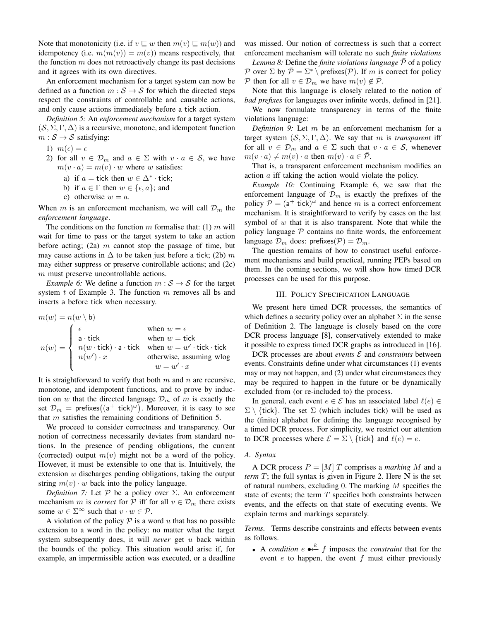Note that monotonicity (i.e. if  $v \sqsubseteq w$  then  $m(v) \sqsubseteq m(w)$ ) and idempotency (i.e.  $m(m(v)) = m(v)$ ) means respectively, that the function  $m$  does not retroactively change its past decisions and it agrees with its own directives.

An enforcement mechanism for a target system can now be defined as a function  $m : S \rightarrow S$  for which the directed steps respect the constraints of controllable and causable actions, and only cause actions immediately before a tick action.

*Definition 5:* An *enforcement mechanism* for a target system  $(S, \Sigma, \Gamma, \Delta)$  is a recursive, monotone, and idempotent function  $m : \mathcal{S} \to \mathcal{S}$  satisfying:

- 1)  $m(\epsilon) = \epsilon$
- 2) for all  $v \in \mathcal{D}_m$  and  $a \in \Sigma$  with  $v \cdot a \in \mathcal{S}$ , we have  $m(v \cdot a) = m(v) \cdot w$  where w satisfies:
	- a) if  $a = \text{tick}$  then  $w \in \Delta^* \cdot \text{tick}$ ;
	- b) if  $a \in \Gamma$  then  $w \in \{\epsilon, a\}$ ; and
	- c) otherwise  $w = a$ .

When m is an enforcement mechanism, we will call  $\mathcal{D}_m$  the *enforcement language*.

The conditions on the function m formalise that: (1) m will wait for time to pass or the target system to take an action before acting; (2a)  $m$  cannot stop the passage of time, but may cause actions in  $\Delta$  to be taken just before a tick; (2b) m may either suppress or preserve controllable actions; and (2c) m must preserve uncontrollable actions.

*Example 6:* We define a function  $m : S \rightarrow S$  for the target system  $t$  of Example 3. The function  $m$  removes all bs and inserts a before tick when necessary.

$$
m(w) = n(w \setminus b)
$$
  
\n
$$
n(w) = \begin{cases} \epsilon & \text{when } w = \epsilon \\ \text{a \cdot tick} \\ n(w \cdot tick) \cdot \text{a \cdot tick} \\ n(w') \cdot x & \text{otherwise, assuming wlog} \\ w = w' \cdot x \end{cases}
$$

It is straightforward to verify that both  $m$  and  $n$  are recursive, monotone, and idempotent functions, and to prove by induction on w that the directed language  $\mathcal{D}_m$  of m is exactly the set  $\mathcal{D}_m$  = prefixes $((a^+ \text{ tick})^\omega)$ . Moreover, it is easy to see that  $m$  satisfies the remaining conditions of Definition 5.

We proceed to consider correctness and transparency. Our notion of correctness necessarily deviates from standard notions. In the presence of pending obligations, the current (corrected) output  $m(v)$  might not be a word of the policy. However, it must be extensible to one that is. Intuitively, the extension  $w$  discharges pending obligations, taking the output string  $m(v) \cdot w$  back into the policy language.

*Definition 7:* Let  $P$  be a policy over  $\Sigma$ . An enforcement mechanism m is *correct* for P iff for all  $v \in \mathcal{D}_m$  there exists some  $w \in \Sigma^{\infty}$  such that  $v \cdot w \in \mathcal{P}$ .

A violation of the policy  $P$  is a word u that has no possible extension to a word in the policy: no matter what the target system subsequently does, it will *never* get u back within the bounds of the policy. This situation would arise if, for example, an impermissible action was executed, or a deadline

was missed. Our notion of correctness is such that a correct enforcement mechanism will tolerate no such *finite violations*

*Lemma 8:* Define the *finite violations language*  $\overline{P}$  of a policy P over  $\Sigma$  by  $\overline{\mathcal{P}} = \Sigma^* \setminus \text{prefix}(P)$ . If m is correct for policy P then for all  $v \in \mathcal{D}_m$  we have  $m(v) \notin \overline{\mathcal{P}}$ .

Note that this language is closely related to the notion of *bad prefixes* for languages over infinite words, defined in [21].

We now formulate transparency in terms of the finite violations language:

*Definition 9:* Let m be an enforcement mechanism for a target system  $(S, \Sigma, \Gamma, \Delta)$ . We say that m is *transparent* iff for all  $v \in \mathcal{D}_m$  and  $a \in \Sigma$  such that  $v \cdot a \in \mathcal{S}$ , whenever  $m(v \cdot a) \neq m(v) \cdot a$  then  $m(v) \cdot a \in \mathcal{P}$ .

That is, a transparent enforcement mechanism modifies an action a iff taking the action would violate the policy.

*Example 10:* Continuing Example 6, we saw that the enforcement language of  $\mathcal{D}_m$  is exactly the prefixes of the policy  $P = (a^+ + ick)^{\omega}$  and hence m is a correct enforcement mechanism. It is straightforward to verify by cases on the last symbol of  $w$  that it is also transparent. Note that while the policy language  $P$  contains no finite words, the enforcement language  $\mathcal{D}_m$  does: prefixes( $\mathcal{P}$ ) =  $\mathcal{D}_m$ .

The question remains of how to construct useful enforcement mechanisms and build practical, running PEPs based on them. In the coming sections, we will show how timed DCR processes can be used for this purpose.

## III. POLICY SPECIFICATION LANGUAGE

We present here timed DCR processes, the semantics of which defines a security policy over an alphabet  $\Sigma$  in the sense of Definition 2. The language is closely based on the core DCR process language [8], conservatively extended to make it possible to express timed DCR graphs as introduced in [16].

DCR processes are about *events*  $\mathcal E$  and *constraints* between events. Constraints define under what circumstances (1) events may or may not happen, and (2) under what circumstances they may be required to happen in the future or be dynamically excluded from (or re-included to) the process.

In general, each event  $e \in \mathcal{E}$  has an associated label  $\ell(e) \in$  $\Sigma \setminus \{$ tick}. The set  $\Sigma$  (which includes tick) will be used as the (finite) alphabet for defining the language recognised by a timed DCR process. For simplicity, we restrict our attention to DCR processes where  $\mathcal{E} = \Sigma \setminus \{\text{tick}\}\$ and  $\ell(e) = e$ .

# *A. Syntax*

A DCR process  $P = [M]T$  comprises a *marking* M and a *term* T; the full syntax is given in Figure 2. Here N is the set of natural numbers, excluding 0. The marking M specifies the state of events; the term  $T$  specifies both constraints between events, and the effects on that state of executing events. We explain terms and markings separately.

*Terms.* Terms describe constraints and effects between events as follows.

• A *condition*  $e \leftarrow^k f$  imposes the *constraint* that for the event  $e$  to happen, the event  $f$  must either previously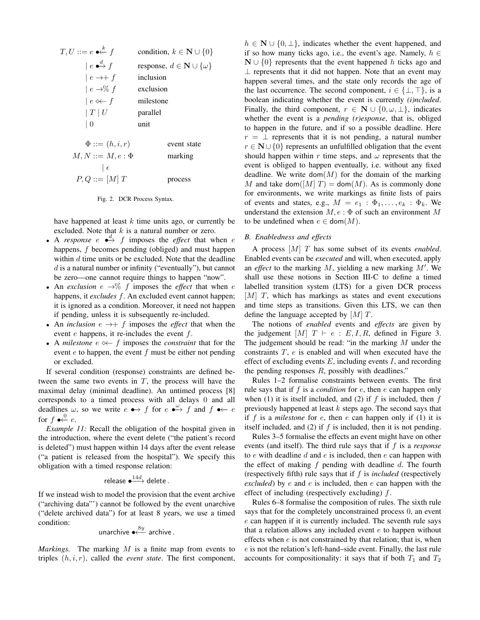$$
T, U ::= e \bullet \stackrel{k}{\leftarrow} f \qquad \text{condition, } k \in \mathbb{N} \cup \{0\}
$$
\n
$$
|e \bullet \stackrel{d}{\rightarrow} f \qquad \text{response, } d \in \mathbb{N} \cup \{\omega\}
$$
\n
$$
|e \to \uparrow f \qquad \text{inclusion}
$$
\n
$$
|e \leftrightarrow f \qquad \text{inclusion}
$$
\n
$$
|e \leftrightarrow f \qquad \text{milestone}
$$
\n
$$
|T|U \qquad \text{parallel}
$$
\n
$$
|0 \qquad \text{unit}
$$
\n
$$
\Phi ::= (h, i, r) \qquad \text{event state}
$$
\n16.11

 $M, N ::= M, e : \Phi$  marking  $|\epsilon$  $P, Q ::= [M] T$  process

Fig. 2. DCR Process Syntax.

have happened at least  $k$  time units ago, or currently be excluded. Note that  $k$  is a natural number or zero.

- A *response*  $e \xrightarrow{d} f$  imposes the *effect* that when *e* happens, f becomes pending (obliged) and must happen within  $d$  time units or be excluded. Note that the deadline  $d$  is a natural number or infinity ("eventually"), but cannot be zero—one cannot require things to happen "now".
- An *exclusion*  $e \rightarrow \%$  f imposes the *effect* that when *e* happens, it *excludes* f. An excluded event cannot happen; it is ignored as a condition. Moreover, it need not happen if pending, unless it is subsequently re-included.
- An *inclusion*  $e \rightarrow + f$  imposes the *effect* that when the event  $e$  happens, it re-includes the event  $f$ .
- A *milestone*  $e \leftarrow f$  imposes the *constraint* that for the event  $e$  to happen, the event  $f$  must be either not pending or excluded.

If several condition (response) constraints are defined between the same two events in  $T$ , the process will have the maximal delay (minimal deadline). An untimed process [8] corresponds to a timed process with all delays 0 and all deadlines  $\omega$ , so we write  $e \leftrightarrow f$  for  $e \leftrightarrow f$  and  $f \leftrightarrow e$ for  $f \bullet \stackrel{0}{\leftarrow} e$ .

*Example 11:* Recall the obligation of the hospital given in the introduction, where the event delete ("the patient's record is deleted") must happen within 14 days after the event release ("a patient is released from the hospital"). We specify this obligation with a timed response relation:

$$
\mathsf{release} \xrightarrow{14d} \mathsf{delete}.
$$

If we instead wish to model the provision that the event archive ("archiving data"') cannot be followed by the event unarchive ("delete archived data") for at least 8 years, we use a timed condition:

$$
\text{unarchive} \overset{8y}{\longleftarrow} \text{ archive}.
$$

*Markings.* The marking M is a finite map from events to triples  $(h, i, r)$ , called the *event state*. The first component,  $h \in \mathbb{N} \cup \{0, \perp\}$ , indicates whether the event happened, and if so how many ticks ago, i.e., the event's age. Namely,  $h \in$  $\mathbf{N} \cup \{0\}$  represents that the event happened h ticks ago and  $\perp$  represents that it did not happen. Note that an event may happen several times, and the state only records the age of the last occurrence. The second component,  $i \in \{\perp, \top\}$ , is a boolean indicating whether the event is currently *(i)ncluded*. Finally, the third component,  $r \in \mathbb{N} \cup \{0, \omega, \perp\}$ , indicates whether the event is a *pending (r)esponse*, that is, obliged to happen in the future, and if so a possible deadline. Here  $r = \perp$  represents that it is not pending, a natural number  $r \in \mathbb{N} \cup \{0\}$  represents an unfulfilled obligation that the event should happen within r time steps, and  $\omega$  represents that the event is obliged to happen eventually, i.e. without any fixed deadline. We write dom $(M)$  for the domain of the marking M and take dom $([M] T) = \text{dom}(M)$ . As is commonly done for environments, we write markings as finite lists of pairs of events and states, e.g.,  $M = e_1 : \Phi_1, \ldots, e_k : \Phi_k$ . We understand the extension  $M$ ,  $e : \Phi$  of such an environment M to be undefined when  $e \in \text{dom}(M)$ .

# *B. Enabledness and effects*

A process [M] T has some subset of its events *enabled*. Enabled events can be *executed* and will, when executed, apply an *effect* to the marking  $M$ , yielding a new marking  $M'$ . We shall use these notions in Section III-C to define a timed labelled transition system (LTS) for a given DCR process  $[M]$  T, which has markings as states and event executions and time steps as transitions. Given this LTS, we can then define the language accepted by  $[M]$  T.

The notions of *enabled* events and *effects* are given by the judgement  $[M]$   $T \vdash e : E, I, R$ , defined in Figure 3. The judgement should be read: "in the marking M under the constraints  $T$ ,  $e$  is enabled and will when executed have the effect of excluding events  $E$ , including events  $I$ , and recording the pending responses  $R$ , possibly with deadlines."

Rules 1–2 formalise constraints between events. The first rule says that if f is a *condition* for e, then e can happen only when (1) it is itself included, and (2) if  $f$  is included, then  $f$ previously happened at least  $k$  steps ago. The second says that if  $f$  is a *milestone* for  $e$ , then  $e$  can happen only if  $(1)$  it is itself included, and (2) if  $f$  is included, then it is not pending.

Rules 3–5 formalise the effects an event might have on other events (and itself). The third rule says that if f is a *response* to  $e$  with deadline  $d$  and  $e$  is included, then  $e$  can happen with the effect of making  $f$  pending with deadline  $d$ . The fourth (respectively fifth) rule says that if  $f$  is *included* (respectively *excluded*) by e and e is included, then e can happen with the effect of including (respectively excluding)  $f$ .

Rules 6–8 formalise the composition of rules. The sixth rule says that for the completely unconstrained process 0, an event e can happen if it is currently included. The seventh rule says that a relation allows any included event  $e$  to happen without effects when  $e$  is not constrained by that relation; that is, when e is not the relation's left-hand–side event. Finally, the last rule accounts for compositionality: it says that if both  $T_1$  and  $T_2$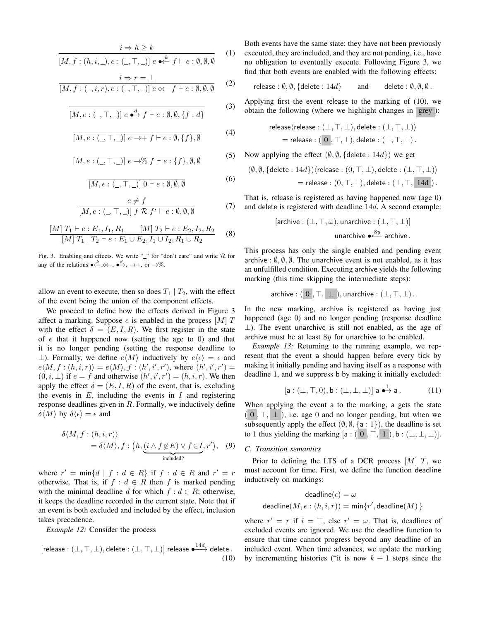$$
\frac{i \Rightarrow h \ge k}{[M, f : (h, i, \_), e : (\_, \top, \_)] e \bullet \stackrel{k}{\leftarrow} f \vdash e : \emptyset, \emptyset, \emptyset}
$$
 (1)

$$
\frac{i \Rightarrow r = \bot}{[M, f: (\_, i, r), e: (\_, \top, \_,)] e \ll f \vdash e: \emptyset, \emptyset, \emptyset} \tag{2}
$$

$$
\overline{[M,e:(\_,\top,\_)]\;e \stackrel{d}{\longleftrightarrow} f \vdash e:\emptyset,\emptyset,\{f:d\}}\tag{3}
$$

$$
[M, e: (\_, \top, \_)] \ e \rightarrow + f \vdash e: \emptyset, \{f\}, \emptyset \tag{4}
$$

$$
[M, e: (\_, \top, \_)] \ e \rightarrow \% \ f \vdash e: \{f\}, \emptyset, \emptyset \tag{5}
$$

$$
\overline{[M, e : (\_, \top, \_)] \ 0 \vdash e : \emptyset, \emptyset, \emptyset}
$$
\n(6)

$$
\frac{e \neq f}{[M, e : (\_, \top, \_)] f \mathcal{R} f' \vdash e : \emptyset, \emptyset, \emptyset} \tag{7}
$$

$$
\frac{[M] T_1 \vdash e : E_1, I_1, R_1 \qquad [M] T_2 \vdash e : E_2, I_2, R_2}{[M] T_1 \mid T_2 \vdash e : E_1 \cup E_2, I_1 \cup I_2, R_1 \cup R_2}
$$
 (8)

Fig. 3. Enabling and effects. We write " $\degree$ " for "don't care" and write  $\mathcal R$  for any of the relations  $\bullet \stackrel{k}{\longleftrightarrow} \diamond \leftarrow, \bullet \stackrel{d}{\rightarrow} \to, \to +, \text{ or } \to \%$ .

allow an event to execute, then so does  $T_1 | T_2$ , with the effect of the event being the union of the component effects.

We proceed to define how the effects derived in Figure 3 affect a marking. Suppose  $e$  is enabled in the process  $[M]$  T with the effect  $\delta = (E, I, R)$ . We first register in the state of  $e$  that it happened now (setting the age to 0) and that it is no longer pending (setting the response deadline to ⊥). Formally, we define  $e\langle M\rangle$  inductively by  $e\langle \epsilon \rangle = \epsilon$  and  $e\langle M, f:(h,i,r)\rangle = e\langle M\rangle, f:(h',i',r'),$  where  $(h',i',r') =$  $(0, i, \perp)$  if  $e = f$  and otherwise  $(h', i', r') = (h, i, r)$ . We then apply the effect  $\delta = (E, I, R)$  of the event, that is, excluding the events in  $E$ , including the events in  $I$  and registering response deadlines given in  $R$ . Formally, we inductively define  $\delta \langle M \rangle$  by  $\delta \langle \epsilon \rangle = \epsilon$  and

$$
\delta \langle M, f : (h, i, r) \rangle
$$
  
=  $\delta \langle M \rangle$ ,  $f : (h, \underbrace{(i \wedge f \notin E) \vee f \in I}, r')$ , (9)

where  $r' = \min\{d \mid f : d \in R\}$  if  $f : d \in R$  and  $r' = r$ otherwise. That is, if  $f : d \in R$  then f is marked pending with the minimal deadline d for which  $f : d \in R$ ; otherwise, it keeps the deadline recorded in the current state. Note that if an event is both excluded and included by the effect, inclusion takes precedence.

*Example 12:* Consider the process

$$
[release : (\bot, \top, \bot), delete : (\bot, \top, \bot)] \text{ release } \bullet \xrightarrow{14d} delete. \tag{10}
$$

Both events have the same state: they have not been previously executed, they are included, and they are not pending, i.e., have no obligation to eventually execute. Following Figure 3, we find that both events are enabled with the following effects:

release :  $\emptyset$ ,  $\emptyset$ , {delete : 14d} and delete :  $\emptyset$ ,  $\emptyset$ ,  $\emptyset$ .

Applying first the event release to the marking of (10), we obtain the following (where we highlight changes in grey ):

$$
\begin{aligned} \text{release} \langle \text{release} : (\bot, \top, \bot), \text{delete} : (\bot, \top, \bot) \rangle \\ & = \text{release} : (\ 0 \ , \top, \bot), \text{delete} : (\bot, \top, \bot) \,. \end{aligned}
$$

Now applying the effect  $(\emptyset, \emptyset, \{\text{delete}: 14d\})$  we get

$$
(\emptyset, \emptyset, \{\text{delete}: 14d\}) \langle \text{release}: (0, \top, \bot), \text{delete}: (\bot, \top, \bot) \rangle
$$

$$
= \text{release}: (0, \top, \bot), \text{delete}: (\bot, \top, \bot) \}
$$

That is, release is registered as having happened now (age 0) and delete is registered with deadline 14d. A second example:

[**archive** : 
$$
(\bot, \top, \omega)
$$
, **unarchive** :  $(\bot, \top, \bot)$ ]  
**unarchive**  $\bullet \frac{8y}{\sqrt{3}}$  **archive**.

This process has only the single enabled and pending event archive :  $\emptyset$ ,  $\emptyset$ ,  $\emptyset$ . The unarchive event is not enabled, as it has an unfulfilled condition. Executing archive yields the following marking (this time skipping the intermediate steps):

archive :  $( 0, T, \perp )$ , unarchive :  $(\perp, T, \perp)$ .

In the new marking, archive is registered as having just happened (age 0) and no longer pending (response deadline ⊥). The event unarchive is still not enabled, as the age of archive must be at least 8y for unarchive to be enabled.

*Example 13:* Returning to the running example, we represent that the event a should happen before every tick by making it initially pending and having itself as a response with deadline 1, and we suppress b by making it initially excluded:

$$
[\mathsf{a} : (\bot, \top, 0), \mathsf{b} : (\bot, \bot, \bot)] \mathsf{a} \stackrel{1}{\bullet \rightarrow} \mathsf{a}. \tag{11}
$$

When applying the event a to the marking, a gets the state  $(0, \top, \bot)$ , i.e. age 0 and no longer pending, but when we subsequently apply the effect  $(\emptyset, \emptyset, \{a : 1\})$ , the deadline is set to 1 thus yielding the marking  $[a : (0, T, 1]), b : (\perp, \perp, \perp)].$ 

# *C. Transition semantics*

Prior to defining the LTS of a DCR process  $[M]$  T, we must account for time. First, we define the function deadline inductively on markings:

$$
\text{deadline}(\epsilon) = \omega
$$
\n
$$
\text{deadline}(M, e : (h, i, r)) = \min\{r', \text{deadline}(M)\}
$$

where  $r' = r$  if  $i = \top$ , else  $r' = \omega$ . That is, deadlines of excluded events are ignored. We use the deadline function to ensure that time cannot progress beyond any deadline of an included event. When time advances, we update the marking by incrementing histories ("it is now  $k + 1$  steps since the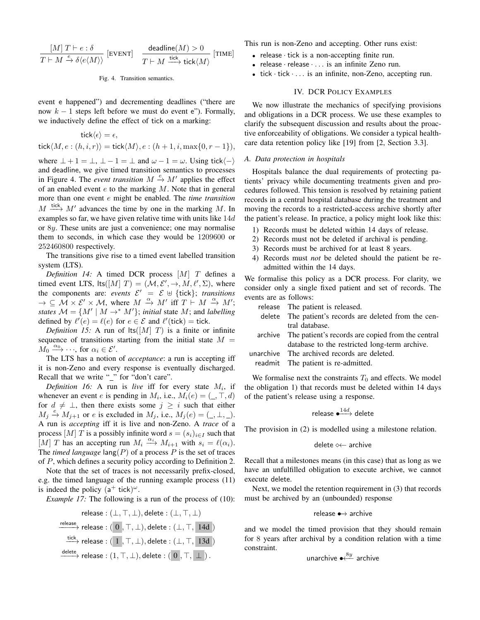$$
\frac{[M] \; T \vdash e : \delta}{T \vdash M \xrightarrow{e} \delta \langle e \langle M \rangle \rangle} \; [\text{event}] \quad \frac{\text{deadline}(M) > 0}{T \vdash M \xrightarrow{\text{tick}} M)} \; [\text{time}]
$$

#### Fig. 4. Transition semantics.

event e happened") and decrementing deadlines ("there are now  $k - 1$  steps left before we must do event e"). Formally, we inductively define the effect of tick on a marking:

$$
\begin{aligned} \mathsf{tick}\langle\epsilon\rangle &= \epsilon, \\ \mathsf{tick}\langle M,e:(h,i,r)\rangle &= \mathsf{tick}\langle M\rangle, e:(h+1,i,\max\{0,r-1\}), \end{aligned}
$$

where  $\perp + 1 = \perp$ ,  $\perp - 1 = \perp$  and  $\omega - 1 = \omega$ . Using tick $\langle - \rangle$ and deadline, we give timed transition semantics to processes in Figure 4. The *event transition*  $M \xrightarrow{e} M'$  applies the effect of an enabled event  $e$  to the marking  $M$ . Note that in general more than one event e might be enabled. The *time transition*  $M \stackrel{\text{tick}}{\longrightarrow} M'$  advances the time by one in the marking M. In examples so far, we have given relative time with units like 14d or 8y. These units are just a convenience; one may normalise them to seconds, in which case they would be 1209600 or 252460800 respectively.

The transitions give rise to a timed event labelled transition system (LTS).

*Definition 14:* A timed DCR process [M] T defines a timed event LTS,  $\text{lts}([M] \ T) = (\mathcal{M}, \mathcal{E}', \rightarrow, M, \ell', \Sigma)$ , where the components are: *events*  $\mathcal{E}' = \mathcal{E} \oplus \{tick\}$ ; *transitions*  $\rightarrow \subseteq M \times \mathcal{E}' \times \mathcal{M}$ , where  $M \stackrel{\alpha}{\rightarrow} M'$  iff  $T \stackrel{\sim}{\leftarrow} M \stackrel{\alpha}{\rightarrow} M'$ ; *states*  $M = \{M' \mid M \rightarrow^* M'\};$  *initial* state M; and *labelling* defined by  $\ell'(e) = \ell(e)$  for  $e \in \mathcal{E}$  and  $\ell'(tick) = tick$ .

*Definition 15:* A run of  $|ts([M| T)]$  is a finite or infinite sequence of transitions starting from the initial state  $M =$  $M_0 \xrightarrow{\alpha_0} \cdots$ , for  $\alpha_i \in \mathcal{E}'$ .

The LTS has a notion of *acceptance*: a run is accepting iff it is non-Zeno and every response is eventually discharged. Recall that we write "\_" for "don't care".

*Definition 16:* A run is *live* iff for every state  $M_i$ , if whenever an event *e* is pending in  $M_i$ , i.e.,  $M_i(e) = (\_, \top, d)$ for  $d \neq \perp$ , then there exists some  $j \geq i$  such that either  $M_j \stackrel{e}{\rightarrow} M_{j+1}$  or e is excluded in  $M_j$ , i.e.,  $M_j(e) = (\_, \bot, \_)$ . A run is *accepting* iff it is live and non-Zeno. A *trace* of a process [M] T is a possibly infinite word  $s = (s_i)_{i \in I}$  such that [M] T has an accepting run  $M_i \xrightarrow{\alpha_i} M_{i+1}$  with  $s_i = \ell(\alpha_i)$ . The *timed language*  $\text{lang}(P)$  of a process P is the set of traces of P, which defines a security policy according to Definition 2.

Note that the set of traces is not necessarily prefix-closed, e.g. the timed language of the running example process (11) is indeed the policy  $(a^+$  tick)<sup> $\omega$ </sup>.

*Example 17:* The following is a run of the process of (10):



This run is non-Zeno and accepting. Other runs exist:

- release · tick is a non-accepting finite run.
- release · release · . . . is an infinite Zeno run.
- tick · tick · . . . is an infinite, non-Zeno, accepting run.

# IV. DCR POLICY EXAMPLES

We now illustrate the mechanics of specifying provisions and obligations in a DCR process. We use these examples to clarify the subsequent discussion and results about the proactive enforceability of obligations. We consider a typical healthcare data retention policy like [19] from [2, Section 3.3].

# *A. Data protection in hospitals*

Hospitals balance the dual requirements of protecting patients' privacy while documenting treatments given and procedures followed. This tension is resolved by retaining patient records in a central hospital database during the treatment and moving the records to a restricted-access archive shortly after the patient's release. In practice, a policy might look like this:

- 1) Records must be deleted within 14 days of release.
- 2) Records must not be deleted if archival is pending.
- 3) Records must be archived for at least 8 years.
- 4) Records must *not* be deleted should the patient be readmitted within the 14 days.

We formalise this policy as a DCR process. For clarity, we consider only a single fixed patient and set of records. The events are as follows:

| release The patient is released.                          |
|-----------------------------------------------------------|
| delete The patient's records are deleted from the cen-    |
| tral database.                                            |
| archive The patient's records are copied from the central |
| database to the restricted long-term archive.             |
| unarchive The archived records are deleted.               |
| readmit The patient is re-admitted.                       |
|                                                           |

We formalise next the constraints  $T_0$  and effects. We model the obligation 1) that records must be deleted within 14 days of the patient's release using a response.

$$
\text{release} \xrightarrow{14d} \text{delete}
$$

The provision in (2) is modelled using a milestone relation.

#### delete <sup>< archive</sup>

Recall that a milestones means (in this case) that as long as we have an unfulfilled obligation to execute archive, we cannot execute delete.

Next, we model the retention requirement in (3) that records must be archived by an (unbounded) response

# release •−→ archive

and we model the timed provision that they should remain for 8 years after archival by a condition relation with a time constraint.

$$
\text{unarchive} \overset{8y}{\longleftarrow} \text{ archive}
$$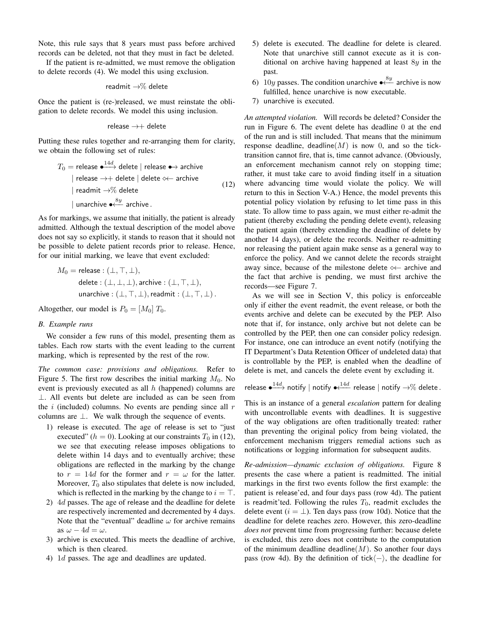Note, this rule says that 8 years must pass before archived records can be deleted, not that they must in fact be deleted.

If the patient is re-admitted, we must remove the obligation to delete records (4). We model this using exclusion.

$$
\mathsf{readmit} \to \!\%
$$
 delete

Once the patient is (re-)released, we must reinstate the obligation to delete records. We model this using inclusion.

$$
\mathsf{release} \to\!\!+\mathsf{delete}
$$

Putting these rules together and re-arranging them for clarity, we obtain the following set of rules:

$$
T_0 = \text{release} \stackrel{\text{4}{\longleftrightarrow}} \text{delete} \mid \text{release} \stackrel{\text{4}{\longleftrightarrow}} \text{architecture} \mid \text{release} \rightarrow \text{architecture} \mid \text{reduce} \rightarrow \text{} \quad (12)
$$
\n
$$
| \text{ readmit } \rightarrow \% \text{ delete} \mid \text{delete} \quad (12)
$$
\n
$$
| \text{ unarchitecture} \stackrel{8y}{\longleftarrow} \text{ archive} \quad (13)
$$

As for markings, we assume that initially, the patient is already admitted. Although the textual description of the model above does not say so explicitly, it stands to reason that it should not be possible to delete patient records prior to release. Hence, for our initial marking, we leave that event excluded:

$$
M_0 = \text{release}: (\bot, \top, \bot),
$$
  
delete: (\bot, \bot, \bot), archive: (\bot, \top, \bot),  
unarchive: (\bot, \top, \bot), readmit: (\bot, \top, \bot).

Altogether, our model is  $P_0 = [M_0] T_0$ .

#### *B. Example runs*

We consider a few runs of this model, presenting them as tables. Each row starts with the event leading to the current marking, which is represented by the rest of the row.

*The common case: provisions and obligations.* Refer to Figure 5. The first row describes the initial marking  $M_0$ . No event is previously executed as all  $h$  (happened) columns are ⊥. All events but delete are included as can be seen from the i (included) columns. No events are pending since all  $r$ columns are ⊥. We walk through the sequence of events.

- 1) release is executed. The age of release is set to "just executed" ( $h = 0$ ). Looking at our constraints  $T_0$  in (12), we see that executing release imposes obligations to delete within 14 days and to eventually archive; these obligations are reflected in the marking by the change to  $r = 14d$  for the former and  $r = \omega$  for the latter. Moreover,  $T_0$  also stipulates that delete is now included, which is reflected in the marking by the change to  $i = \top$ .
- 2) 4d passes. The age of release and the deadline for delete are respectively incremented and decremented by 4 days. Note that the "eventual" deadline  $\omega$  for archive remains as  $\omega - 4d = \omega$ .
- 3) archive is executed. This meets the deadline of archive, which is then cleared.
- 4) 1d passes. The age and deadlines are updated.
- 5) delete is executed. The deadline for delete is cleared. Note that unarchive still cannot execute as it is conditional on archive having happened at least  $8y$  in the past.
- 6) 10y passes. The condition unarchive  $\bullet \stackrel{8y}{\leftarrow}$  archive is now fulfilled, hence unarchive is now executable.
- 7) unarchive is executed.

*An attempted violation.* Will records be deleted? Consider the run in Figure 6. The event delete has deadline 0 at the end of the run and is still included. That means that the minimum response deadline, deadline( $M$ ) is now 0, and so the ticktransition cannot fire, that is, time cannot advance. (Obviously, an enforcement mechanism cannot rely on stopping time; rather, it must take care to avoid finding itself in a situation where advancing time would violate the policy. We will return to this in Section V-A.) Hence, the model prevents this potential policy violation by refusing to let time pass in this state. To allow time to pass again, we must either re-admit the patient (thereby excluding the pending delete event), releasing the patient again (thereby extending the deadline of delete by another 14 days), or delete the records. Neither re-admitting nor releasing the patient again make sense as a general way to enforce the policy. And we cannot delete the records straight away since, because of the milestone delete  $\leftarrow$  archive and the fact that archive is pending, we must first archive the records—see Figure 7.

As we will see in Section V, this policy is enforceable only if either the event readmit, the event release, or both the events archive and delete can be executed by the PEP. Also note that if, for instance, only archive but not delete can be controlled by the PEP, then one can consider policy redesign. For instance, one can introduce an event notify (notifying the IT Department's Data Retention Officer of undeleted data) that is controllable by the PEP, is enabled when the deadline of delete is met, and cancels the delete event by excluding it.

release  $\overset{14d}{\longleftrightarrow}$  notify  $\mid$  notify  $\bullet^{\textstyle\bigtriangleup\!4d}_{\longleftarrow}$  release  $\mid$  notify  $\to\hspace{-1pt}\%$  delete .

This is an instance of a general *escalation* pattern for dealing with uncontrollable events with deadlines. It is suggestive of the way obligations are often traditionally treated: rather than preventing the original policy from being violated, the enforcement mechanism triggers remedial actions such as notifications or logging information for subsequent audits.

*Re-admission—dynamic exclusion of obligations.* Figure 8 presents the case where a patient is readmitted. The initial markings in the first two events follow the first example: the patient is release'ed, and four days pass (row 4d). The patient is readmit'ted. Following the rules  $T_0$ , readmit excludes the delete event ( $i = \perp$ ). Ten days pass (row 10d). Notice that the deadline for delete reaches zero. However, this zero-deadline *does not* prevent time from progressing further: because delete is excluded, this zero does not contribute to the computation of the minimum deadline deadline( $M$ ). So another four days pass (row 4d). By the definition of tick $\langle - \rangle$ , the deadline for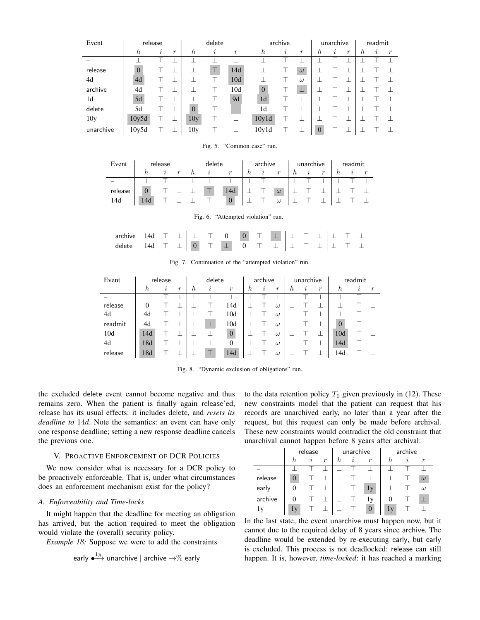| Event           | release          |          |                  | delete           |                     |               | archive          |          | unarchive        |                | readmit |                  |   |   |   |
|-----------------|------------------|----------|------------------|------------------|---------------------|---------------|------------------|----------|------------------|----------------|---------|------------------|---|---|---|
|                 | $\boldsymbol{h}$ | $\imath$ | $\boldsymbol{r}$ | $\boldsymbol{h}$ | $\boldsymbol{\eta}$ | $\mathcal{r}$ | $\boldsymbol{h}$ | $\imath$ | $\boldsymbol{r}$ | h              | i       | $\boldsymbol{r}$ | h | i | r |
|                 |                  |          |                  |                  |                     |               |                  |          |                  |                |         |                  |   |   |   |
| release         | $\overline{0}$   |          |                  |                  |                     | 14d           |                  |          | $\omega$         |                |         |                  |   |   |   |
| 4d              | 4d               |          |                  |                  |                     | 10d           |                  |          | $\omega$         |                |         |                  |   |   |   |
| archive         | 4d               |          |                  |                  |                     | 10d           | $\Omega$         |          | ╩                |                |         |                  |   |   |   |
| 1d              | 5d               |          |                  |                  |                     | 9d            | 1 <sub>d</sub>   |          |                  |                |         |                  |   |   |   |
| delete          | 5d               |          |                  | $\overline{0}$   |                     | ╙             | 1d               |          |                  |                |         |                  |   |   |   |
| 10 <sub>y</sub> | 10y5d            |          |                  | 10 <sub>y</sub>  |                     |               | 10y1d            |          |                  |                |         |                  |   |   |   |
| unarchive       | 10y5d            |          |                  | 10y              |                     |               | 10y1d            |          |                  | $\overline{0}$ |         |                  |   |   |   |

| Event   | release |                  | delete |  |          | archive |         |                  | unarchive |               |                  | readmit |  |  |
|---------|---------|------------------|--------|--|----------|---------|---------|------------------|-----------|---------------|------------------|---------|--|--|
|         |         | $\boldsymbol{r}$ | n.     |  | r        | n       | $\iota$ | $\boldsymbol{r}$ | h         | $\mathcal{L}$ | $\boldsymbol{r}$ |         |  |  |
|         |         |                  |        |  |          |         |         |                  |           |               |                  |         |  |  |
| release |         |                  |        |  | 14d      |         |         | $\omega$         |           |               |                  |         |  |  |
| 14d     |         |                  |        |  | $\theta$ |         |         | $\omega$         |           |               |                  |         |  |  |

| Fig. 5.<br>"Common case" run. |  |
|-------------------------------|--|
|-------------------------------|--|

| archive   14d $\top$ $\bot$   $\bot$ $\top$ 0   0 $\top$ $\bot$   $\bot$ $\top$ $\bot$   $\bot$ $\top$ $\bot$   $\bot$ $\top$ $\bot$   $\bot$ $\top$ $\bot$   $\bot$ $\top$ $\bot$   $\bot$ $\top$ $\bot$ $\bot$ $\top$ $\bot$ |  |  |  |  |  |  |  |  |
|--------------------------------------------------------------------------------------------------------------------------------------------------------------------------------------------------------------------------------|--|--|--|--|--|--|--|--|
|                                                                                                                                                                                                                                |  |  |  |  |  |  |  |  |

Fig. 6. "Attempted violation" run.

| Event   | release  |         |                  | delete |    |               | archive |   |                | unarchive |   |                  | readmit        |         |                  |
|---------|----------|---------|------------------|--------|----|---------------|---------|---|----------------|-----------|---|------------------|----------------|---------|------------------|
|         | h        | $\iota$ | $\boldsymbol{r}$ | h      | Ì, | $\mathcal{r}$ | h       | i | $\mathfrak{r}$ | h         | i | $\boldsymbol{r}$ | h              | $\iota$ | $\boldsymbol{r}$ |
|         |          |         |                  |        |    |               |         |   |                |           |   |                  |                |         |                  |
| release | $\Omega$ |         |                  |        |    | 14d           |         |   | $\omega$       |           |   |                  |                |         |                  |
| 4d      | 4d       |         |                  |        |    | 10d           |         |   | $\omega$       |           |   |                  |                |         |                  |
| readmit | 4d       |         |                  |        |    | 10d           |         |   | $\omega$       |           |   |                  | $\overline{0}$ |         |                  |
| 10d     | 14d      |         |                  |        |    | $\theta$      |         |   | $\omega$       |           |   |                  | 10d            |         |                  |
| 4d      | 18d      |         |                  |        |    | $\theta$      |         |   | $\omega$       |           |   |                  | 14d            |         |                  |
| release | 18d      |         |                  |        |    | 14d           |         |   | $\omega$       |           |   |                  | 14d            |         |                  |

Fig. 7. Continuation of the "attempted violation" run.

Fig. 8. "Dynamic exclusion of obligations" run.

the excluded delete event cannot become negative and thus remains zero. When the patient is finally again release'ed, release has its usual effects: it includes delete, and *resets its deadline to* 14d. Note the semantics: an event can have only one response deadline; setting a new response deadline cancels the previous one.

# V. PROACTIVE ENFORCEMENT OF DCR POLICIES

We now consider what is necessary for a DCR policy to be proactively enforceable. That is, under what circumstances does an enforcement mechanism exist for the policy?

## *A. Enforceability and Time-locks*

 $1_{21}$ 

It might happen that the deadline for meeting an obligation has arrived, but the action required to meet the obligation would violate the (overall) security policy.

*Example 18:* Suppose we were to add the constraints

$$
\textsf{early} \overset{\textsf{\tiny{1}}\textsf{y}}{\longrightarrow} \textsf{unarchive} \mid \textsf{archive} \rightarrow \hspace{-4pt} \% \textsf{early}
$$

to the data retention policy  $T_0$  given previously in (12). These new constraints model that the patient can request that his records are unarchived early, no later than a year after the request, but this request can only be made before archival. These new constraints would contradict the old constraint that unarchival cannot happen before 8 years after archival:

|         |                                               | release |  |    | unarchive                               |          | archive |  |                  |  |
|---------|-----------------------------------------------|---------|--|----|-----------------------------------------|----------|---------|--|------------------|--|
|         | $\boldsymbol{r}$<br>h.<br>$\boldsymbol{\eta}$ |         |  | h. | $\boldsymbol{r}$<br>$\boldsymbol{\eta}$ |          | h.      |  | $\boldsymbol{r}$ |  |
|         |                                               |         |  |    |                                         |          |         |  |                  |  |
| release | $\Omega$                                      |         |  |    |                                         |          |         |  | $\omega$         |  |
| early   | 0                                             |         |  |    |                                         | 1v       |         |  | $\omega$         |  |
| archive | 0                                             |         |  |    |                                         | 1v       |         |  |                  |  |
| 1v      | 1 <sub>V</sub>                                |         |  |    |                                         | $\left($ | 1v      |  |                  |  |

In the last state, the event unarchive must happen now, but it cannot due to the required delay of 8 years since archive. The deadline would be extended by re-executing early, but early is excluded. This process is not deadlocked: release can still happen. It is, however, *time-locked*: it has reached a marking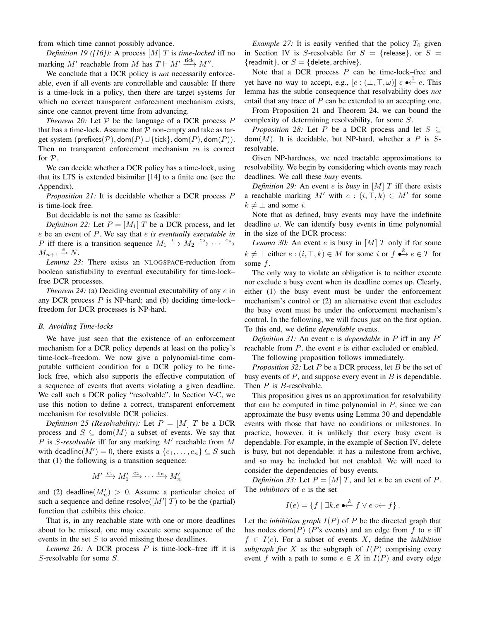from which time cannot possibly advance.

*Definition 19 ([16]):* A process [M] T is *time-locked* iff no marking M' reachable from M has  $T \vdash M' \stackrel{\text{tick}}{\longrightarrow} M''$ .

We conclude that a DCR policy is *not* necessarily enforceable, even if all events are controllable and causable: If there is a time-lock in a policy, then there are target systems for which no correct transparent enforcement mechanism exists, since one cannot prevent time from advancing.

*Theorem 20:* Let  $P$  be the language of a DCR process  $P$ that has a time-lock. Assume that  $P$  non-empty and take as target system (prefixes( $P$ ), dom( $P$ ) $\cup$ {tick}, dom( $P$ ), dom( $P$ )). Then no transparent enforcement mechanism  $m$  is correct for P.

We can decide whether a DCR policy has a time-lock, using that its LTS is extended bisimilar [14] to a finite one (see the Appendix).

*Proposition 21:* It is decidable whether a DCR process P is time-lock free.

But decidable is not the same as feasible:

*Definition 22:* Let  $P = [M_1]T$  be a DCR process, and let e be an event of P. We say that e *is eventually executable in* P iff there is a transition sequence  $M_1 \xrightarrow{e_1} M_2 \xrightarrow{e_2} \cdots \xrightarrow{e_n}$  $M_{n+1} \stackrel{e}{\to} N$ .

*Lemma 23:* There exists an NLOGSPACE-reduction from boolean satisfiability to eventual executability for time-lock– free DCR processes.

*Theorem 24:* (a) Deciding eventual executability of any e in any DCR process  $P$  is NP-hard; and (b) deciding time-lock– freedom for DCR processes is NP-hard.

## *B. Avoiding Time-locks*

We have just seen that the existence of an enforcement mechanism for a DCR policy depends at least on the policy's time-lock–freedom. We now give a polynomial-time computable sufficient condition for a DCR policy to be timelock free, which also supports the effective computation of a sequence of events that averts violating a given deadline. We call such a DCR policy "resolvable". In Section V-C, we use this notion to define a correct, transparent enforcement mechanism for resolvable DCR policies.

*Definition 25 (Resolvability):* Let  $P = [M]T$  be a DCR process and  $S \subseteq \text{dom}(M)$  a subset of events. We say that  $P$  is  $S$ -resolvable iff for any marking  $M'$  reachable from  $M$ with deadline( $M'$ ) = 0, there exists a  $\{e_1, \ldots, e_n\} \subseteq S$  such that (1) the following is a transition sequence:

$$
M' \xrightarrow{e_1} M'_1 \xrightarrow{e_2} \cdots \xrightarrow{e_n} M'_n
$$

and (2) deadline $(M'_n) > 0$ . Assume a particular choice of such a sequence and define resolve( $[M']$  T) to be the (partial) function that exhibits this choice.

That is, in any reachable state with one or more deadlines about to be missed, one may execute some sequence of the events in the set  $S$  to avoid missing those deadlines.

*Lemma 26:* A DCR process P is time-lock–free iff it is S-resolvable for some S.

*Example 27:* It is easily verified that the policy  $T_0$  given in Section IV is S-resolvable for  $S = {$ release}, or  $S =$ {readmit}, or  $S =$  {delete, archive}.

Note that a DCR process  $P$  can be time-lock–free and yet have no way to accept, e.g.,  $[e:(\bot, \top, \omega)]$   $e \rightarrow^0e$ . This lemma has the subtle consequence that resolvability does *not* entail that any trace of  $P$  can be extended to an accepting one.

From Proposition 21 and Theorem 24, we can bound the complexity of determining resolvability, for some S.

*Proposition 28:* Let P be a DCR process and let  $S \subseteq$  $dom(M)$ . It is decidable, but NP-hard, whether a P is Sresolvable.

Given NP-hardness, we need tractable approximations to resolvability. We begin by considering which events may reach deadlines. We call these *busy* events.

*Definition 29:* An event e is *busy* in [M]  $T$  iff there exists a reachable marking M' with  $e : (i, \top, k) \in M'$  for some  $k \neq \perp$  and some *i*.

Note that as defined, busy events may have the indefinite deadline  $\omega$ . We can identify busy events in time polynomial in the size of the DCR process:

*Lemma 30:* An event  $e$  is busy in  $[M]$   $T$  only if for some  $k \neq \bot$  either  $e : (i, \top, k) \in M$  for some i or  $f \bullet^k \to e \in T$  for some  $f$ .

The only way to violate an obligation is to neither execute nor exclude a busy event when its deadline comes up. Clearly, either (1) the busy event must be under the enforcement mechanism's control or (2) an alternative event that excludes the busy event must be under the enforcement mechanism's control. In the following, we will focus just on the first option. To this end, we define *dependable* events.

*Definition 31:* An event *e* is *dependable* in *P* iff in any *P'* reachable from  $P$ , the event  $e$  is either excluded or enabled.

The following proposition follows immediately.

*Proposition 32:* Let P be a DCR process, let B be the set of busy events of  $P$ , and suppose every event in  $B$  is dependable. Then *P* is *B*-resolvable.

This proposition gives us an approximation for resolvability that can be computed in time polynomial in  $P$ , since we can approximate the busy events using Lemma 30 and dependable events with those that have no conditions or milestones. In practice, however, it is unlikely that every busy event is dependable. For example, in the example of Section IV, delete is busy, but not dependable: it has a milestone from archive, and so may be included but not enabled. We will need to consider the dependencies of busy events.

*Definition 33:* Let  $P = [M]T$ , and let e be an event of P. The *inhibitors* of e is the set

$$
I(e) = \{ f \mid \exists k.e \; \bullet \stackrel{k}{\leftarrow} f \lor e \ll f \}.
$$

Let the *inhibition graph*  $I(P)$  of P be the directed graph that has nodes dom $(P)$  (P's events) and an edge from f to e iff  $f \in I(e)$ . For a subset of events X, define the *inhibition subgraph for* X as the subgraph of  $I(P)$  comprising every event f with a path to some  $e \in X$  in  $I(P)$  and every edge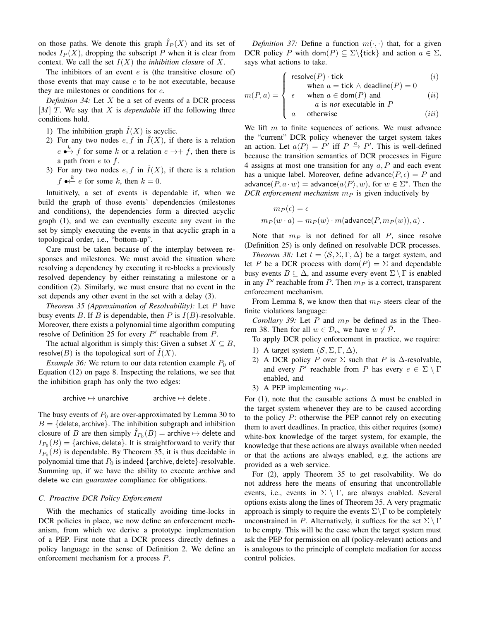on those paths. We denote this graph  $\hat{I}_P(X)$  and its set of nodes  $I_P(X)$ , dropping the subscript P when it is clear from context. We call the set  $I(X)$  the *inhibition closure* of X.

The inhibitors of an event  $e$  is (the transitive closure of) those events that may cause  $e$  to be not executable, because they are milestones or conditions for e.

*Definition 34:* Let X be a set of events of a DCR process [M] T. We say that X is *dependable* iff the following three conditions hold.

- 1) The inhibition graph  $I(X)$  is acyclic.
- 2) For any two nodes  $e, f$  in  $\tilde{I}(X)$ , if there is a relation  $e \stackrel{k}{\longrightarrow} f$  for some k or a relation  $e \rightarrow + f$ , then there is a path from  $e$  to  $f$ .
- 3) For any two nodes  $e, f$  in  $\hat{I}(X)$ , if there is a relation  $f \bullet \stackrel{k}{\leftarrow} e$  for some k, then  $k = 0$ .

Intuitively, a set of events is dependable if, when we build the graph of those events' dependencies (milestones and conditions), the dependencies form a directed acyclic graph (1), and we can eventually execute any event in the set by simply executing the events in that acyclic graph in a topological order, i.e., "bottom-up".

Care must be taken because of the interplay between responses and milestones. We must avoid the situation where resolving a dependency by executing it re-blocks a previously resolved dependency by either reinstating a milestone or a condition (2). Similarly, we must ensure that no event in the set depends any other event in the set with a delay (3).

*Theorem 35 (Approximation of Resolvability):* Let P have busy events B. If B is dependable, then P is  $I(B)$ -resolvable. Moreover, there exists a polynomial time algorithm computing resolve of Definition 25 for every  $P'$  reachable from  $P$ .

The actual algorithm is simply this: Given a subset  $X \subseteq B$ , resolve(B) is the topological sort of  $\overline{I}(X)$ .

*Example 36:* We return to our data retention example  $P_0$  of Equation (12) on page 8. Inspecting the relations, we see that the inhibition graph has only the two edges:

$$
\mathsf{archive}\mapsto\mathsf{unarchive}\qquad\qquad\mathsf{archive}\mapsto\mathsf{delete}\,.
$$

The busy events of  $P_0$  are over-approximated by Lemma 30 to  $B = \{$  delete, archive}. The inhibition subgraph and inhibition closure of B are then simply  $\hat{I}_{P_0}(B) =$  archive  $\mapsto$  delete and  $I_{P_0}(B) = \{\text{archive}, \text{delete}\}.$  It is straightforward to verify that  $I_{P_0}(B)$  is dependable. By Theorem 35, it is thus decidable in polynomial time that  $P_0$  is indeed {archive, delete}-resolvable. Summing up, if we have the ability to execute archive and delete we can *guarantee* compliance for obligations.

# *C. Proactive DCR Policy Enforcement*

With the mechanics of statically avoiding time-locks in DCR policies in place, we now define an enforcement mechanism, from which we derive a prototype implementation of a PEP. First note that a DCR process directly defines a policy language in the sense of Definition 2. We define an enforcement mechanism for a process P.

*Definition 37:* Define a function  $m(\cdot, \cdot)$  that, for a given DCR policy P with dom(P)  $\subseteq \Sigma\backslash\{\text{tick}\}\$ and action  $a \in \Sigma$ , says what actions to take.

$$
\begin{cases}\n\text{resolve}(P) \cdot \text{tick} \\
\text{where } \text{right} \land \text{default}(\text{P}) = 0\n\end{cases} (i)
$$

$$
m(P, a) = \begin{cases} \text{where } a = \text{tick } \land \text{ deadline}(P) = 0 \\ \epsilon & \text{when } a \in \text{dom}(P) \text{ and} \\ a \text{ is not executable in } P \end{cases} \tag{i}
$$

$$
\begin{cases}\n a \text{ is not executable in } P \\
 a \text{ otherwise} \n\end{cases}
$$
\n(iii)

We lift  $m$  to finite sequences of actions. We must advance the "current" DCR policy whenever the target system takes an action. Let  $a \langle P \rangle = P'$  iff  $P \stackrel{a}{\rightarrow} P'$ . This is well-defined because the transition semantics of DCR processes in Figure 4 assigns at most one transition for any  $a, P$  and each event has a unique label. Moreover, define advance  $(P, \epsilon) = P$  and advance $(P, a \cdot w) =$  advance $(a \langle P \rangle, w)$ , for  $w \in \Sigma^*$ . Then the *DCR enforcement mechanism*  $m_P$  is given inductively by

$$
m_P(\epsilon) = \epsilon
$$
  

$$
m_P(w \cdot a) = m_P(w) \cdot m(\text{advance}(P, m_P(w)), a) .
$$

Note that  $m_P$  is not defined for all  $P$ , since resolve (Definition 25) is only defined on resolvable DCR processes.

*Theorem 38:* Let  $t = (S, \Sigma, \Gamma, \Delta)$  be a target system, and let P be a DCR process with dom $(P) = \Sigma$  and dependable busy events  $B \subseteq \Delta$ , and assume every event  $\Sigma \setminus \Gamma$  is enabled in any  $P'$  reachable from P. Then  $m_P$  is a correct, transparent enforcement mechanism.

From Lemma 8, we know then that  $m_P$  steers clear of the finite violations language:

*Corollary 39:* Let  $P$  and  $m_P$  be defined as in the Theorem 38. Then for all  $w \in \mathcal{D}_m$  we have  $w \notin \mathcal{P}$ .

To apply DCR policy enforcement in practice, we require:

- 1) A target system  $(S, \Sigma, \Gamma, \Delta)$ ,
- 2) A DCR policy P over  $\Sigma$  such that P is  $\Delta$ -resolvable, and every P' reachable from P has every  $e \in \Sigma \setminus \Gamma$ enabled, and
- 3) A PEP implementing  $m_P$ .

For (1), note that the causable actions  $\Delta$  must be enabled in the target system whenever they are to be caused according to the policy  $P$ : otherwise the PEP cannot rely on executing them to avert deadlines. In practice, this either requires (some) white-box knowledge of the target system, for example, the knowledge that these actions are always available when needed or that the actions are always enabled, e.g. the actions are provided as a web service.

For (2), apply Theorem 35 to get resolvability. We do not address here the means of ensuring that uncontrollable events, i.e., events in  $\Sigma \setminus \Gamma$ , are always enabled. Several options exists along the lines of Theorem 35. A very pragmatic approach is simply to require the events  $\Sigma \backslash \Gamma$  to be completely unconstrained in P. Alternatively, it suffices for the set  $\Sigma \setminus \Gamma$ to be empty. This will be the case when the target system must ask the PEP for permission on all (policy-relevant) actions and is analogous to the principle of complete mediation for access control policies.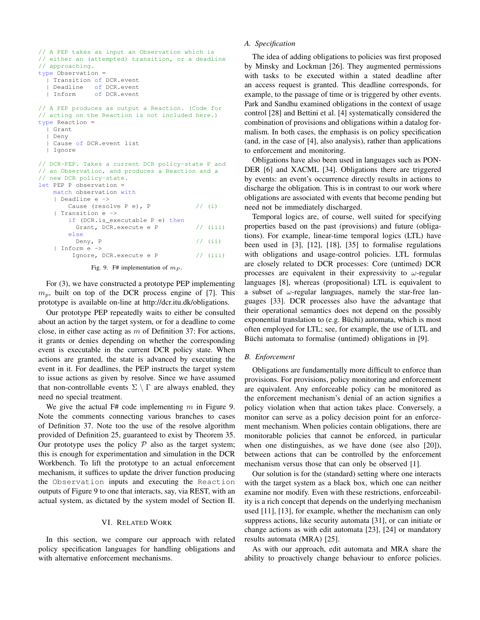```
// A PEP takes as input an Observation which is
// either an (attempted) transition, or a deadline
// approaching.
type Observation =
  | Transition of DCR.event
   Deadline of DCR.event
  | Inform of DCR.event
// A PEP produces as output a Reaction. (Code for
// acting on the Reaction is not included here.)
type Reaction =
  | Grant
 | Deny
 | Cause of DCR.event list
  | Ignore
// DCR-PEP. Takes a current DCR policy-state P and
// an Observation, and produces a Reaction and a
// new DCR policy-state.
let PEP P observation =
   match observation with
   | Deadline e ->
       Cause (resolve P e), P // (i)
    | Transition e ->
       if (DCR.is_executable P e) then
         Grant, DCR.execute e P // (iii)
       else
         Deny, P \frac{1}{\sqrt{1}} (ii)
    | Inform e ->
        Ignore, DCR.execute e P // (iii)
```
Fig. 9. F# implementation of  $m_P$ .

For (3), we have constructed a prototype PEP implementing  $m_p$ , built on top of the DCR process engine of [7]. This prototype is available on-line at http://dcr.itu.dk/obligations.

Our prototype PEP repeatedly waits to either be consulted about an action by the target system, or for a deadline to come close, in either case acting as  $m$  of Definition 37: For actions, it grants or denies depending on whether the corresponding event is executable in the current DCR policy state. When actions are granted, the state is advanced by executing the event in it. For deadlines, the PEP instructs the target system to issue actions as given by resolve. Since we have assumed that non-controllable events  $\Sigma \setminus \Gamma$  are always enabled, they need no special treatment.

We give the actual F# code implementing  $m$  in Figure 9. Note the comments connecting various branches to cases of Definition 37. Note too the use of the resolve algorithm provided of Definition 25, guaranteed to exist by Theorem 35. Our prototype uses the policy  $P$  also as the target system; this is enough for experimentation and simulation in the DCR Workbench. To lift the prototype to an actual enforcement mechanism, it suffices to update the driver function producing the Observation inputs and executing the Reaction outputs of Figure 9 to one that interacts, say, via REST, with an actual system, as dictated by the system model of Section II.

#### VI. RELATED WORK

In this section, we compare our approach with related policy specification languages for handling obligations and with alternative enforcement mechanisms.

## *A. Specification*

The idea of adding obligations to policies was first proposed by Minsky and Lockman [26]. They augmented permissions with tasks to be executed within a stated deadline after an access request is granted. This deadline corresponds, for example, to the passage of time or is triggered by other events. Park and Sandhu examined obligations in the context of usage control [28] and Bettini et al. [4] systematically considered the combination of provisions and obligations within a datalog formalism. In both cases, the emphasis is on policy specification (and, in the case of [4], also analysis), rather than applications to enforcement and monitoring.

Obligations have also been used in languages such as PON-DER [6] and XACML [34]. Obligations there are triggered by events: an event's occurrence directly results in actions to discharge the obligation. This is in contrast to our work where obligations are associated with events that become pending but need not be immediately discharged.

Temporal logics are, of course, well suited for specifying properties based on the past (provisions) and future (obligations). For example, linear-time temporal logics (LTL) have been used in [3], [12], [18], [35] to formalise regulations with obligations and usage-control policies. LTL formulas are closely related to DCR processes: Core (untimed) DCR processes are equivalent in their expressivity to  $\omega$ -regular languages [8], whereas (propositional) LTL is equivalent to a subset of  $\omega$ -regular languages, namely the star-free languages [33]. DCR processes also have the advantage that their operational semantics does not depend on the possibly exponential translation to (e.g. Büchi) automata, which is most often employed for LTL; see, for example, the use of LTL and Büchi automata to formalise (untimed) obligations in [9].

#### *B. Enforcement*

Obligations are fundamentally more difficult to enforce than provisions. For provisions, policy monitoring and enforcement are equivalent. Any enforceable policy can be monitored as the enforcement mechanism's denial of an action signifies a policy violation when that action takes place. Conversely, a monitor can serve as a policy decision point for an enforcement mechanism. When policies contain obligations, there are monitorable policies that cannot be enforced, in particular when one distinguishes, as we have done (see also [20]), between actions that can be controlled by the enforcement mechanism versus those that can only be observed [1].

Our solution is for the (standard) setting where one interacts with the target system as a black box, which one can neither examine nor modify. Even with these restrictions, enforceability is a rich concept that depends on the underlying mechanism used [11], [13], for example, whether the mechanism can only suppress actions, like security automata [31], or can initiate or change actions as with edit automata [23], [24] or mandatory results automata (MRA) [25].

As with our approach, edit automata and MRA share the ability to proactively change behaviour to enforce policies.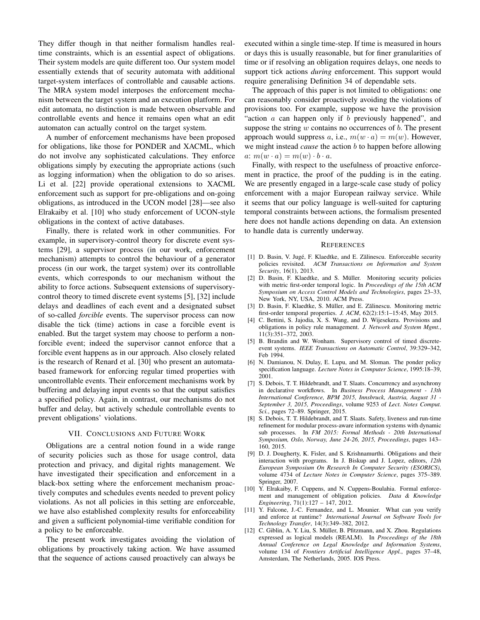They differ though in that neither formalism handles realtime constraints, which is an essential aspect of obligations. Their system models are quite different too. Our system model essentially extends that of security automata with additional target-system interfaces of controllable and causable actions. The MRA system model interposes the enforcement mechanism between the target system and an execution platform. For edit automata, no distinction is made between observable and controllable events and hence it remains open what an edit automaton can actually control on the target system.

A number of enforcement mechanisms have been proposed for obligations, like those for PONDER and XACML, which do not involve any sophisticated calculations. They enforce obligations simply by executing the appropriate actions (such as logging information) when the obligation to do so arises. Li et al. [22] provide operational extensions to XACML enforcement such as support for pre-obligations and on-going obligations, as introduced in the UCON model [28]—see also Elrakaiby et al. [10] who study enforcement of UCON-style obligations in the context of active databases.

Finally, there is related work in other communities. For example, in supervisory-control theory for discrete event systems [29], a supervisor process (in our work, enforcement mechanism) attempts to control the behaviour of a generator process (in our work, the target system) over its controllable events, which corresponds to our mechanism without the ability to force actions. Subsequent extensions of supervisorycontrol theory to timed discrete event systems [5], [32] include delays and deadlines of each event and a designated subset of so-called *forcible* events. The supervisor process can now disable the tick (time) actions in case a forcible event is enabled. But the target system may choose to perform a nonforcible event; indeed the supervisor cannot enforce that a forcible event happens as in our approach. Also closely related is the research of Renard et al. [30] who present an automatabased framework for enforcing regular timed properties with uncontrollable events. Their enforcement mechanisms work by buffering and delaying input events so that the output satisfies a specified policy. Again, in contrast, our mechanisms do not buffer and delay, but actively schedule controllable events to prevent obligations' violations.

# VII. CONCLUSIONS AND FUTURE WORK

Obligations are a central notion found in a wide range of security policies such as those for usage control, data protection and privacy, and digital rights management. We have investigated their specification and enforcement in a black-box setting where the enforcement mechanism proactively computes and schedules events needed to prevent policy violations. As not all policies in this setting are enforceable, we have also established complexity results for enforceability and given a sufficient polynomial-time verifiable condition for a policy to be enforceable.

The present work investigates avoiding the violation of obligations by proactively taking action. We have assumed that the sequence of actions caused proactively can always be

executed within a single time-step. If time is measured in hours or days this is usually reasonable, but for finer granularities of time or if resolving an obligation requires delays, one needs to support tick actions *during* enforcement. This support would require generalising Definition 34 of dependable sets.

The approach of this paper is not limited to obligations: one can reasonably consider proactively avoiding the violations of provisions too. For example, suppose we have the provision "action  $a$  can happen only if  $b$  previously happened", and suppose the string  $w$  contains no occurrences of  $b$ . The present approach would suppress a, i.e.,  $m(w \cdot a) = m(w)$ . However, we might instead *cause* the action b to happen before allowing a:  $m(w \cdot a) = m(w) \cdot b \cdot a$ .

Finally, with respect to the usefulness of proactive enforcement in practice, the proof of the pudding is in the eating. We are presently engaged in a large-scale case study of policy enforcement with a major European railway service. While it seems that our policy language is well-suited for capturing temporal constraints between actions, the formalism presented here does not handle actions depending on data. An extension to handle data is currently underway.

#### **REFERENCES**

- [1] D. Basin, V. Jugé, F. Klaedtke, and E. Zălinescu. Enforceable security policies revisited. *ACM Transactions on Information and System Security*, 16(1), 2013.
- [2] D. Basin, F. Klaedtke, and S. Müller. Monitoring security policies with metric first-order temporal logic. In *Proceedings of the 15th ACM Symposium on Access Control Models and Technologies*, pages 23–33, New York, NY, USA, 2010. ACM Press.
- [3] D. Basin, F. Klaedtke, S. Müller, and E. Zălinescu. Monitoring metric first-order temporal properties. *J. ACM*, 62(2):15:1–15:45, May 2015.
- [4] C. Bettini, S. Jajodia, X. S. Wang, and D. Wijesekera. Provisions and obligations in policy rule management. *J. Network and System Mgmt.*, 11(3):351–372, 2003.
- [5] B. Brandin and W. Wonham. Supervisory control of timed discreteevent systems. *IEEE Transactions on Automatic Control*, 39:329–342, Feb 1994.
- [6] N. Damianou, N. Dulay, E. Lupu, and M. Sloman. The ponder policy specification language. *Lecture Notes in Computer Science*, 1995:18–39, 2001.
- [7] S. Debois, T. T. Hildebrandt, and T. Slaats. Concurrency and asynchrony in declarative workflows. In *Business Process Management - 13th International Conference, BPM 2015, Innsbruck, Austria, August 31 - September 3, 2015, Proceedings*, volume 9253 of *Lect. Notes Comput. Sci.*, pages 72–89. Springer, 2015.
- [8] S. Debois, T. T. Hildebrandt, and T. Slaats. Safety, liveness and run-time refinement for modular process-aware information systems with dynamic sub processes. In *FM 2015: Formal Methods - 20th International Symposium, Oslo, Norway, June 24-26, 2015, Proceedings*, pages 143– 160, 2015.
- [9] D. J. Dougherty, K. Fisler, and S. Krishnamurthi. Obligations and their interaction with programs. In J. Biskup and J. Lopez, editors, *12th European Symposium On Research In Computer Security (ESORICS)*, volume 4734 of *Lecture Notes in Computer Science*, pages 375–389. Springer, 2007.
- [10] Y. Elrakaiby, F. Cuppens, and N. Cuppens-Boulahia. Formal enforcement and management of obligation policies. *Data & Knowledge Engineering*, 71(1):127 – 147, 2012.
- [11] Y. Falcone, J.-C. Fernandez, and L. Mounier. What can you verify and enforce at runtime? *International Journal on Software Tools for Technology Transfer*, 14(3):349–382, 2012.
- [12] C. Giblin, A. Y. Liu, S. Müller, B. Pfitzmann, and X. Zhou. Regulations expressed as logical models (REALM). In *Proceedings of the 18th Annual Conference on Legal Knowledge and Information Systems*, volume 134 of *Frontiers Artificial Intelligence Appl.*, pages 37–48, Amsterdam, The Netherlands, 2005. IOS Press.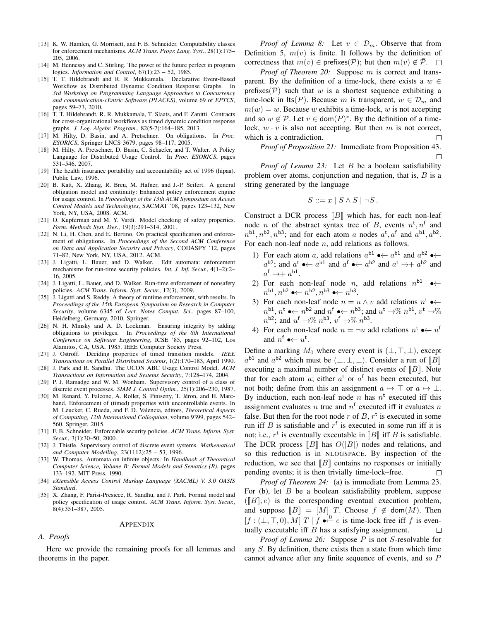- [13] K. W. Hamlen, G. Morrisett, and F. B. Schneider. Computability classes for enforcement mechanisms. *ACM Trans. Progr. Lang. Syst.*, 28(1):175– 205, 2006.
- [14] M. Hennessy and C. Stirling. The power of the future perfect in program logics. *Information and Control*, 67(1):23 – 52, 1985.
- [15] T. T. Hildebrandt and R. R. Mukkamala. Declarative Event-Based Workflow as Distributed Dynamic Condition Response Graphs. In *3rd Workshop on Programming Language Approaches to Concurrency and communication-cEntric Software (PLACES)*, volume 69 of *EPTCS*, pages 59–73, 2010.
- [16] T. T. Hildebrandt, R. R. Mukkamala, T. Slaats, and F. Zanitti. Contracts for cross-organizational workflows as timed dynamic condition response graphs. *J. Log. Algebr. Program.*, 82(5-7):164–185, 2013.
- [17] M. Hilty, D. Basin, and A. Pretschner. On obligations. In *Proc. ESORICS*, Springer LNCS 3679, pages 98–117, 2005.
- [18] M. Hilty, A. Pretschner, D. Basin, C. Schaefer, and T. Walter. A Policy Language for Distributed Usage Control. In *Proc. ESORICS*, pages 531–546, 2007.
- [19] The health insurance portability and accountability act of 1996 (hipaa). Public Law, 1996.
- [20] B. Katt, X. Zhang, R. Breu, M. Hafner, and J.-P. Seifert. A general obligation model and continuity: Enhanced policy enforcement engine for usage control. In *Proceedings of the 13th ACM Symposium on Access Control Models and Technologies*, SACMAT '08, pages 123–132, New York, NY, USA, 2008. ACM.
- [21] O. Kupferman and M. Y. Vardi. Model checking of safety properties. *Form. Methods Syst. Des.*, 19(3):291–314, 2001.
- [22] N. Li, H. Chen, and E. Bertino. On practical specification and enforcement of obligations. In *Proceedings of the Second ACM Conference on Data and Application Security and Privacy*, CODASPY '12, pages 71–82, New York, NY, USA, 2012. ACM.
- [23] J. Ligatti, L. Bauer, and D. Walker. Edit automata: enforcement mechanisms for run-time security policies. *Int. J. Inf. Secur.*, 4(1–2):2– 16, 2005.
- [24] J. Ligatti, L. Bauer, and D. Walker. Run-time enforcement of nonsafety policies. *ACM Trans. Inform. Syst. Secur.*, 12(3), 2009.
- [25] J. Ligatti and S. Reddy. A theory of runtime enforcement, with results. In *Proceedings of the 15th European Symposium on Research in Computer Security*, volume 6345 of *Lect. Notes Comput. Sci.*, pages 87–100, Heidelberg, Germany, 2010. Springer.
- [26] N. H. Minsky and A. D. Lockman. Ensuring integrity by adding obligations to privileges. In *Proceedings of the 8th International Conference on Software Engineering*, ICSE '85, pages 92–102, Los Alamitos, CA, USA, 1985. IEEE Computer Society Press.
- [27] J. Ostroff. Deciding properties of timed transition models. *IEEE Transactions on Parallel Distributed Systems*, 1(2):170–183, April 1990.
- [28] J. Park and R. Sandhu. The UCON ABC Usage Control Model. *ACM Transactions on Information and Systems Security*, 7:128–174, 2004.
- [29] P. J. Ramadge and W. M. Wonham. Supervisory control of a class of discrete event processes. *SIAM J. Control Optim.*, 25(1):206–230, 1987.
- [30] M. Renard, Y. Falcone, A. Rollet, S. Pinisetty, T. Jéron, and H. Marchand. Enforcement of (timed) properties with uncontrollable events. In M. Leucker, C. Rueda, and F. D. Valencia, editors, *Theoretical Aspects of Computing, 12th International Colloquium*, volume 9399, pages 542– 560. Springer, 2015.
- [31] F. B. Schneider. Enforceable security policies. *ACM Trans. Inform. Syst. Secur.*, 3(1):30–50, 2000.
- [32] J. Thistle. Supervisory control of discrete event systems. *Mathematical and Computer Modelling*, 23(1112):25 – 53, 1996.
- [33] W. Thomas. Automata on infinite objects. In *Handbook of Theoretical Computer Science, Volume B: Formal Models and Sematics (B)*, pages 133–192. MIT Press, 1990.
- [34] *eXtensible Access Control Markup Language (XACML) V. 3.0 OASIS Standard*.
- [35] X. Zhang, F. Parisi-Presicce, R. Sandhu, and J. Park. Formal model and policy specification of usage control. *ACM Trans. Inform. Syst. Secur.*,  $8(4):351-387,2005.$

#### APPENDIX

# *A. Proofs*

Here we provide the remaining proofs for all lemmas and theorems in the paper.

*Proof of Lemma 8:* Let  $v \in \mathcal{D}_m$ . Observe that from Definition 5,  $m(v)$  is finite. It follows by the definition of correctness that  $m(v) \in \text{prefixes}(\mathcal{P})$ ; but then  $m(v) \notin \overline{\mathcal{P}}$ .  $\Box$ 

*Proof of Theorem 20:* Suppose m is correct and transparent. By the definition of a time-lock, there exists a  $w \in$ prefixes( $P$ ) such that w is a shortest sequence exhibiting a time-lock in lts(P). Because m is transparent,  $w \in \mathcal{D}_m$  and  $m(w) = w$ . Because w exhibits a time-lock, w is not accepting and so  $w \notin \mathcal{P}$ . Let  $v \in \text{dom}(P)^*$ . By the definition of a timelock,  $w \cdot v$  is also not accepting. But then m is not correct, which is a contradiction.  $\Box$ 

*Proof of Proposition 21:* Immediate from Proposition 43.  $\Box$ 

*Proof of Lemma 23:* Let B be a boolean satisfiability problem over atoms, conjunction and negation, that is,  $B$  is a string generated by the language

$$
S ::= x \mid S \land S \mid \neg S.
$$

Construct a DCR process  $\llbracket B \rrbracket$  which has, for each non-leaf node *n* of the abstract syntax tree of *B*, events  $n^t$ ,  $n^f$  and  $n^{b1}, n^{b2}, n^{b3}$ ; and for each atom a nodes  $a^t, a^f$  and  $a^{b1}, a^{b2}$ . For each non-leaf node  $n$ , add relations as follows.

- 1) For each atom a, add relations  $a^{b1}$   $\leftrightarrow$   $a^{b1}$  and  $a^{b2}$   $\leftrightarrow$  $a^{b2}$ ; and  $a^{t}$   $\rightarrow$   $\leftarrow$   $a^{b1}$  and  $a^{f}$   $\rightarrow$   $\leftarrow$   $a^{b2}$  and  $a^{t}$   $\rightarrow$   $\leftarrow$   $a^{b2}$  and  $a^{\mathsf{f}} \rightarrow + a^{\mathsf{b1}}.$
- 2) For each non-leaf node *n*, add relations  $n^{b1} \rightarrow \leftarrow$  $n^{\text{b1}}, n^{\text{b2}} \leftrightarrow n^{\text{b2}}, n^{\text{b3}} \leftrightarrow n^{\text{b3}}.$
- 3) For each non-leaf node  $n = u \wedge v$  add relations  $n^t$   $\rightarrow \leftarrow$  $n^{\text{b1}}, n^{\text{t}}$   $\bullet \leftarrow n^{\text{b2}}$  and  $n^{\text{f}}$   $\bullet \leftarrow n^{\text{b3}}$ ; and  $u^{\text{t}} \rightarrow \% n^{\text{b1}}$ ,  $v^{\text{t}} \rightarrow \%$  $n^{\mathsf{b2}}$ ; and  $u^{\mathsf{f}} \rightarrow \% n^{\mathsf{b3}}$ ,  $v^{\mathsf{f}} \rightarrow \% n^{\mathsf{b3}}$ .
- 4) For each non-leaf node  $n = \neg u$  add relations  $n^t \rightarrow \neg u^f$ and  $n^f \rightarrow \leftarrow u^t$ .

Define a marking  $M_0$  where every event is  $(\bot, \top, \bot)$ , except  $a^{b1}$  and  $a^{b2}$  which must be  $(\perp, \perp, \perp)$ . Consider a run of [B] executing a maximal number of distinct events of  $\llbracket B \rrbracket$ . Note that for each atom a; either  $a^t$  or  $a^f$  has been executed, but not both; define from this an assignment  $a \mapsto \top$  or  $a \mapsto \bot$ . By induction, each non-leaf node n has  $n^t$  executed iff this assignment evaluates n true and  $n^f$  executed iff it evaluates n false. But then for the root node  $r$  of  $B$ ,  $r^t$  is executed in some run iff B is satisfiable and  $r<sup>f</sup>$  is executed in some run iff it is not; i.e.,  $r^t$  is eventually executable in [*B*] iff *B* is satisfiable.<br>The DCP process  $[Bl]$  hes  $O(|B|)$  podes and relations, and The DCR process  $||B||$  has  $O(|B|)$  nodes and relations, and so this reduction is in NLOGSPACE. By inspection of the reduction, we see that  $[[B]]$  contains no responses or initially pending events: it is then trivially time-lock–free. pending events; it is then trivially time-lock–free.

*Proof of Theorem 24:* (a) is immediate from Lemma 23. For (b), let  $B$  be a boolean satisfiability problem, suppose  $([B], e)$  is the corresponding eventual execution problem, and suppose  $[[B]] = [M]$  T. Choose  $f \notin \text{dom}(M)$ . Then  $[f:(\bot,\top,0),M]$   $T \mid f \bullet \stackrel{0}{\leftarrow} e$  is time-lock free iff  $f$  is eventually executable iff  $B$  has a satisfying assignment.  $\Box$ 

*Proof of Lemma 26:* Suppose P is not S-resolvable for any S. By definition, there exists then a state from which time cannot advance after any finite sequence of events, and so P